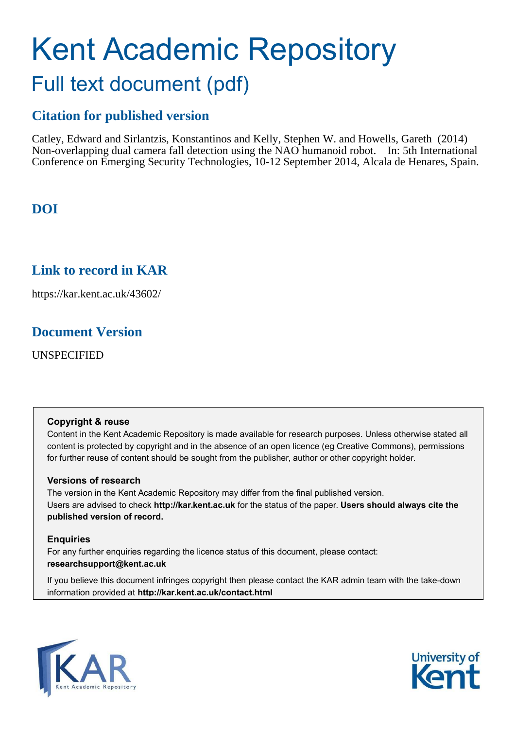# Kent Academic Repository Full text document (pdf)

## **Citation for published version**

Catley, Edward and Sirlantzis, Konstantinos and Kelly, Stephen W. and Howells, Gareth (2014) Non-overlapping dual camera fall detection using the NAO humanoid robot. In: 5th International Conference on Emerging Security Technologies, 10-12 September 2014, Alcala de Henares, Spain.

## **DOI**

## **Link to record in KAR**

https://kar.kent.ac.uk/43602/

### **Document Version**

UNSPECIFIED

#### **Copyright & reuse**

Content in the Kent Academic Repository is made available for research purposes. Unless otherwise stated all content is protected by copyright and in the absence of an open licence (eg Creative Commons), permissions for further reuse of content should be sought from the publisher, author or other copyright holder.

#### **Versions of research**

The version in the Kent Academic Repository may differ from the final published version. Users are advised to check **http://kar.kent.ac.uk** for the status of the paper. **Users should always cite the published version of record.**

#### **Enquiries**

For any further enquiries regarding the licence status of this document, please contact: **researchsupport@kent.ac.uk**

If you believe this document infringes copyright then please contact the KAR admin team with the take-down information provided at **http://kar.kent.ac.uk/contact.html**



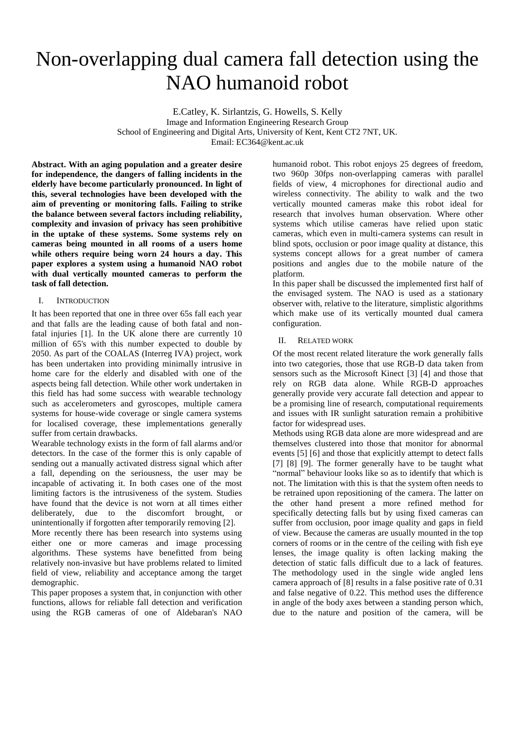## Non-overlapping dual camera fall detection using the NAO humanoid robot

E.Catley, K. Sirlantzis, G. Howells, S. Kelly Image and Information Engineering Research Group School of Engineering and Digital Arts, University of Kent, Kent CT2 7NT, UK. Email: EC364@kent.ac.uk

**Abstract. With an aging population and a greater desire for independence, the dangers of falling incidents in the elderly have become particularly pronounced. In light of this, several technologies have been developed with the aim of preventing or monitoring falls. Failing to strike the balance between several factors including reliability, complexity and invasion of privacy has seen prohibitive in the uptake of these systems. Some systems rely on cameras being mounted in all rooms of a users home while others require being worn 24 hours a day. This paper explores a system using a humanoid NAO robot with dual vertically mounted cameras to perform the task of fall detection.** 

#### I. INTRODUCTION

It has been reported that one in three over 65s fall each year and that falls are the leading cause of both fatal and nonfatal injuries [1]. In the UK alone there are currently 10 million of 65's with this number expected to double by 2050. As part of the COALAS (Interreg IVA) project, work has been undertaken into providing minimally intrusive in home care for the elderly and disabled with one of the aspects being fall detection. While other work undertaken in this field has had some success with wearable technology such as accelerometers and gyroscopes, multiple camera systems for house-wide coverage or single camera systems for localised coverage, these implementations generally suffer from certain drawbacks.

Wearable technology exists in the form of fall alarms and/or detectors. In the case of the former this is only capable of sending out a manually activated distress signal which after a fall, depending on the seriousness, the user may be incapable of activating it. In both cases one of the most limiting factors is the intrusiveness of the system. Studies have found that the device is not worn at all times either deliberately, due to the discomfort brought, or unintentionally if forgotten after temporarily removing [2].

More recently there has been research into systems using either one or more cameras and image processing algorithms. These systems have benefitted from being relatively non-invasive but have problems related to limited field of view, reliability and acceptance among the target demographic.

This paper proposes a system that, in conjunction with other functions, allows for reliable fall detection and verification using the RGB cameras of one of Aldebaran's NAO humanoid robot. This robot enjoys 25 degrees of freedom, two 960p 30fps non-overlapping cameras with parallel fields of view, 4 microphones for directional audio and wireless connectivity. The ability to walk and the two vertically mounted cameras make this robot ideal for research that involves human observation. Where other systems which utilise cameras have relied upon static cameras, which even in multi-camera systems can result in blind spots, occlusion or poor image quality at distance, this systems concept allows for a great number of camera positions and angles due to the mobile nature of the platform.

In this paper shall be discussed the implemented first half of the envisaged system. The NAO is used as a stationary observer with, relative to the literature, simplistic algorithms which make use of its vertically mounted dual camera configuration.

#### II. RELATED WORK

Of the most recent related literature the work generally falls into two categories, those that use RGB-D data taken from sensors such as the Microsoft Kinect [3] [4] and those that rely on RGB data alone. While RGB-D approaches generally provide very accurate fall detection and appear to be a promising line of research, computational requirements and issues with IR sunlight saturation remain a prohibitive factor for widespread uses.

Methods using RGB data alone are more widespread and are themselves clustered into those that monitor for abnormal events [5] [6] and those that explicitly attempt to detect falls [7] [8] [9]. The former generally have to be taught what "normal" behaviour looks like so as to identify that which is not. The limitation with this is that the system often needs to be retrained upon repositioning of the camera. The latter on the other hand present a more refined method for specifically detecting falls but by using fixed cameras can suffer from occlusion, poor image quality and gaps in field of view. Because the cameras are usually mounted in the top corners of rooms or in the centre of the ceiling with fish eye lenses, the image quality is often lacking making the detection of static falls difficult due to a lack of features. The methodology used in the single wide angled lens camera approach of [8] results in a false positive rate of 0.31 and false negative of 0.22. This method uses the difference in angle of the body axes between a standing person which, due to the nature and position of the camera, will be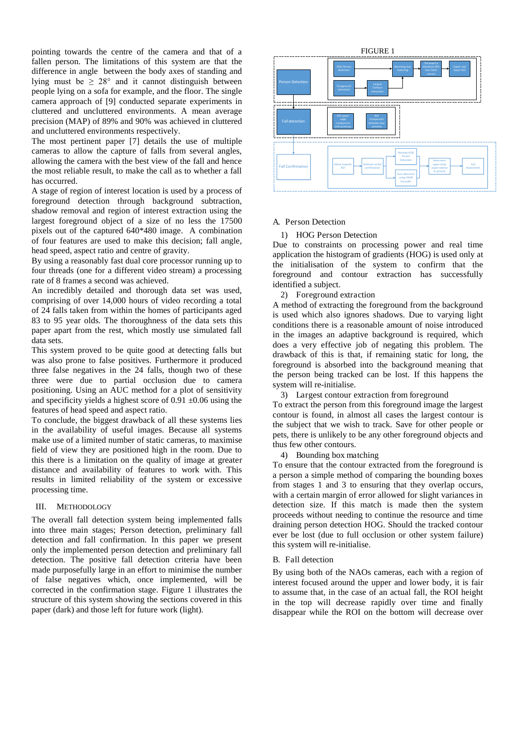pointing towards the centre of the camera and that of a fallen person. The limitations of this system are that the difference in angle between the body axes of standing and lying must be  $\geq 28^{\circ}$  and it cannot distinguish between people lying on a sofa for example, and the floor. The single camera approach of [9] conducted separate experiments in cluttered and uncluttered environments. A mean average precision (MAP) of 89% and 90% was achieved in cluttered and uncluttered environments respectively.

The most pertinent paper [7] details the use of multiple cameras to allow the capture of falls from several angles, allowing the camera with the best view of the fall and hence the most reliable result, to make the call as to whether a fall has occurred.

A stage of region of interest location is used by a process of foreground detection through background subtraction, shadow removal and region of interest extraction using the largest foreground object of a size of no less the 17500 pixels out of the captured 640\*480 image. A combination of four features are used to make this decision; fall angle, head speed, aspect ratio and centre of gravity.

By using a reasonably fast dual core processor running up to four threads (one for a different video stream) a processing rate of 8 frames a second was achieved.

An incredibly detailed and thorough data set was used, comprising of over 14,000 hours of video recording a total of 24 falls taken from within the homes of participants aged 83 to 95 year olds. The thoroughness of the data sets this paper apart from the rest, which mostly use simulated fall data sets.

This system proved to be quite good at detecting falls but was also prone to false positives. Furthermore it produced three false negatives in the 24 falls, though two of these three were due to partial occlusion due to camera positioning. Using an AUC method for a plot of sensitivity and specificity yields a highest score of  $0.91 \pm 0.06$  using the features of head speed and aspect ratio.

To conclude, the biggest drawback of all these systems lies in the availability of useful images. Because all systems make use of a limited number of static cameras, to maximise field of view they are positioned high in the room. Due to this there is a limitation on the quality of image at greater distance and availability of features to work with. This results in limited reliability of the system or excessive processing time.

#### III. METHODOLOGY

The overall fall detection system being implemented falls into three main stages; Person detection, preliminary fall detection and fall confirmation. In this paper we present only the implemented person detection and preliminary fall detection. The positive fall detection criteria have been made purposefully large in an effort to minimise the number of false negatives which, once implemented, will be corrected in the confirmation stage. Figure 1 illustrates the structure of this system showing the sections covered in this paper (dark) and those left for future work (light).



#### A. Person Detection

#### 1) HOG Person Detection

Due to constraints on processing power and real time application the histogram of gradients (HOG) is used only at the initialisation of the system to confirm that the foreground and contour extraction has successfully identified a subject.

2) Foreground extraction

A method of extracting the foreground from the background is used which also ignores shadows. Due to varying light conditions there is a reasonable amount of noise introduced in the images an adaptive background is required, which does a very effective job of negating this problem. The drawback of this is that, if remaining static for long, the foreground is absorbed into the background meaning that the person being tracked can be lost. If this happens the system will re-initialise.

3) Largest contour extraction from foreground

To extract the person from this foreground image the largest contour is found, in almost all cases the largest contour is the subject that we wish to track. Save for other people or pets, there is unlikely to be any other foreground objects and thus few other contours.

4) Bounding box matching

To ensure that the contour extracted from the foreground is a person a simple method of comparing the bounding boxes from stages 1 and 3 to ensuring that they overlap occurs, with a certain margin of error allowed for slight variances in detection size. If this match is made then the system proceeds without needing to continue the resource and time draining person detection HOG. Should the tracked contour ever be lost (due to full occlusion or other system failure) this system will re-initialise.

#### B. Fall detection

By using both of the NAOs cameras, each with a region of interest focused around the upper and lower body, it is fair to assume that, in the case of an actual fall, the ROI height in the top will decrease rapidly over time and finally disappear while the ROI on the bottom will decrease over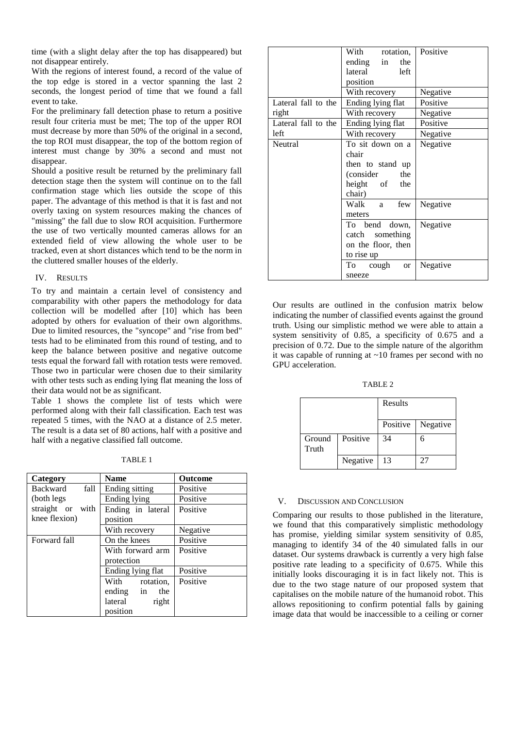time (with a slight delay after the top has disappeared) but not disappear entirely.

With the regions of interest found, a record of the value of the top edge is stored in a vector spanning the last 2 seconds, the longest period of time that we found a fall event to take.

For the preliminary fall detection phase to return a positive result four criteria must be met; The top of the upper ROI must decrease by more than 50% of the original in a second, the top ROI must disappear, the top of the bottom region of interest must change by 30% a second and must not disappear.

Should a positive result be returned by the preliminary fall detection stage then the system will continue on to the fall confirmation stage which lies outside the scope of this paper. The advantage of this method is that it is fast and not overly taxing on system resources making the chances of "missing" the fall due to slow ROI acquisition. Furthermore the use of two vertically mounted cameras allows for an extended field of view allowing the whole user to be tracked, even at short distances which tend to be the norm in the cluttered smaller houses of the elderly.

#### IV. RESULTS

To try and maintain a certain level of consistency and comparability with other papers the methodology for data collection will be modelled after [10] which has been adopted by others for evaluation of their own algorithms. Due to limited resources, the "syncope" and "rise from bed" tests had to be eliminated from this round of testing, and to keep the balance between positive and negative outcome tests equal the forward fall with rotation tests were removed. Those two in particular were chosen due to their similarity with other tests such as ending lying flat meaning the loss of their data would not be as significant.

Table 1 shows the complete list of tests which were performed along with their fall classification. Each test was repeated 5 times, with the NAO at a distance of 2.5 meter. The result is a data set of 80 actions, half with a positive and half with a negative classified fall outcome.

| Category         | <b>Name</b>       | <b>Outcome</b> |  |
|------------------|-------------------|----------------|--|
| Backward<br>fall | Ending sitting    | Positive       |  |
| (both legs       | Ending lying      | Positive       |  |
| straight or with | Ending in lateral | Positive       |  |
| knee flexion)    | position          |                |  |
|                  | With recovery     | Negative       |  |
| Forward fall     | On the knees      | Positive       |  |
|                  | With forward arm  | Positive       |  |
|                  | protection        |                |  |
|                  | Ending lying flat | Positive       |  |
|                  | With<br>rotation, | Positive       |  |
|                  | ending in the     |                |  |
|                  | lateral<br>right  |                |  |
|                  | position          |                |  |

|                     | With rotation,                                         | Positive |
|---------------------|--------------------------------------------------------|----------|
|                     | ending in<br>the                                       |          |
|                     | lateral<br>left                                        |          |
|                     | position                                               |          |
|                     | With recovery                                          | Negative |
| Lateral fall to the | Ending lying flat                                      | Positive |
| right               | With recovery                                          | Negative |
| Lateral fall to the | Ending lying flat                                      | Positive |
| left                | With recovery                                          | Negative |
| Neutral             | To sit down on a<br>chair                              | Negative |
|                     | then to stand up                                       |          |
|                     | (consider the                                          |          |
|                     | height of the<br>chair)                                |          |
|                     | Walk a<br>few<br>meters                                | Negative |
|                     | To bend down,<br>catch something<br>on the floor, then | Negative |
|                     | to rise up                                             |          |
|                     | To cough<br><sub>or</sub>                              | Negative |
|                     | sneeze                                                 |          |

Our results are outlined in the confusion matrix below indicating the number of classified events against the ground truth. Using our simplistic method we were able to attain a system sensitivity of 0.85, a specificity of 0.675 and a precision of 0.72. Due to the simple nature of the algorithm it was capable of running at  $\sim 10$  frames per second with no GPU acceleration.

TABLE 2

|                 |          | Results  |          |
|-----------------|----------|----------|----------|
|                 |          | Positive | Negative |
| Ground<br>Truth | Positive | 34       | 6        |
|                 | Negative | 13       | 27       |

#### V. DISCUSSION AND CONCLUSION

Comparing our results to those published in the literature, we found that this comparatively simplistic methodology has promise, yielding similar system sensitivity of 0.85, managing to identify 34 of the 40 simulated falls in our dataset. Our systems drawback is currently a very high false positive rate leading to a specificity of 0.675. While this initially looks discouraging it is in fact likely not. This is due to the two stage nature of our proposed system that capitalises on the mobile nature of the humanoid robot. This allows repositioning to confirm potential falls by gaining image data that would be inaccessible to a ceiling or corner